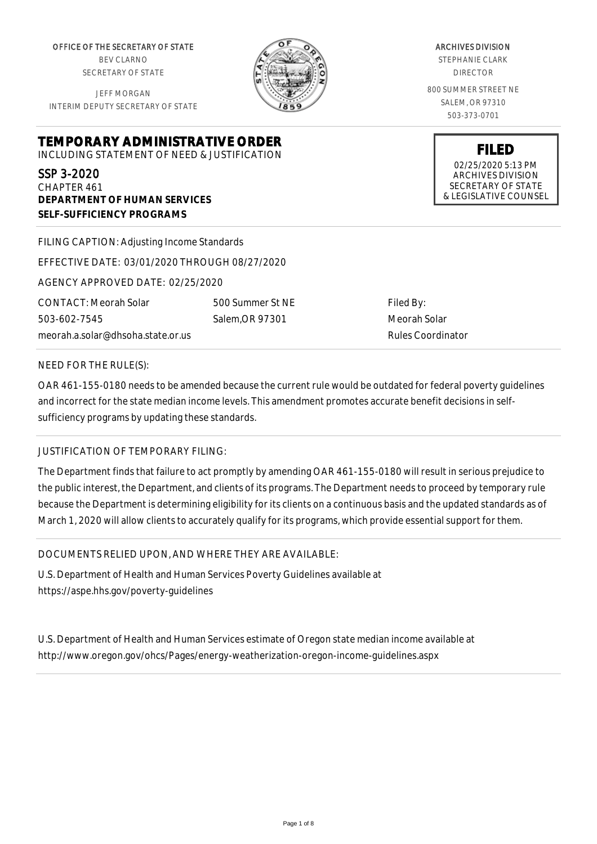OFFICE OF THE SECRETARY OF STATE BEV CLARNO SECRETARY OF STATE

JEFF MORGAN INTERIM DEPUTY SECRETARY OF STATE

**DEPARTMENT OF HUMAN SERVICES**

**SELF-SUFFICIENCY PROGRAMS**

ARCHIVES DIVISION

STEPHANIE CLARK DIRECTOR

800 SUMMER STREET NE SALEM, OR 97310 503-373-0701

> **FILED** 02/25/2020 5:13 PM ARCHIVES DIVISION SECRETARY OF STATE & LEGISLATIVE COUNSEL

FILING CAPTION: Adjusting Income Standards

EFFECTIVE DATE: 03/01/2020 THROUGH 08/27/2020

**TEMPORARY ADMINISTRATIVE ORDER** INCLUDING STATEMENT OF NEED & JUSTIFICATION

AGENCY APPROVED DATE: 02/25/2020

CONTACT: Meorah Solar 503-602-7545 meorah.a.solar@dhsoha.state.or.us 500 Summer St NE Salem,OR 97301

Filed By: Meorah Solar Rules Coordinator

### NEED FOR THE RULE(S):

SSP 3-2020 CHAPTER 461

OAR 461-155-0180 needs to be amended because the current rule would be outdated for federal poverty guidelines and incorrect for the state median income levels. This amendment promotes accurate benefit decisions in selfsufficiency programs by updating these standards.

## JUSTIFICATION OF TEMPORARY FILING:

The Department finds that failure to act promptly by amending OAR 461-155-0180 will result in serious prejudice to the public interest, the Department, and clients of its programs. The Department needs to proceed by temporary rule because the Department is determining eligibility for its clients on a continuous basis and the updated standards as of March 1, 2020 will allow clients to accurately qualify for its programs, which provide essential support for them.

DOCUMENTS RELIED UPON, AND WHERE THEY ARE AVAILABLE:

U.S. Department of Health and Human Services Poverty Guidelines available at https://aspe.hhs.gov/poverty-guidelines

U.S. Department of Health and Human Services estimate of Oregon state median income available at http://www.oregon.gov/ohcs/Pages/energy-weatherization-oregon-income-guidelines.aspx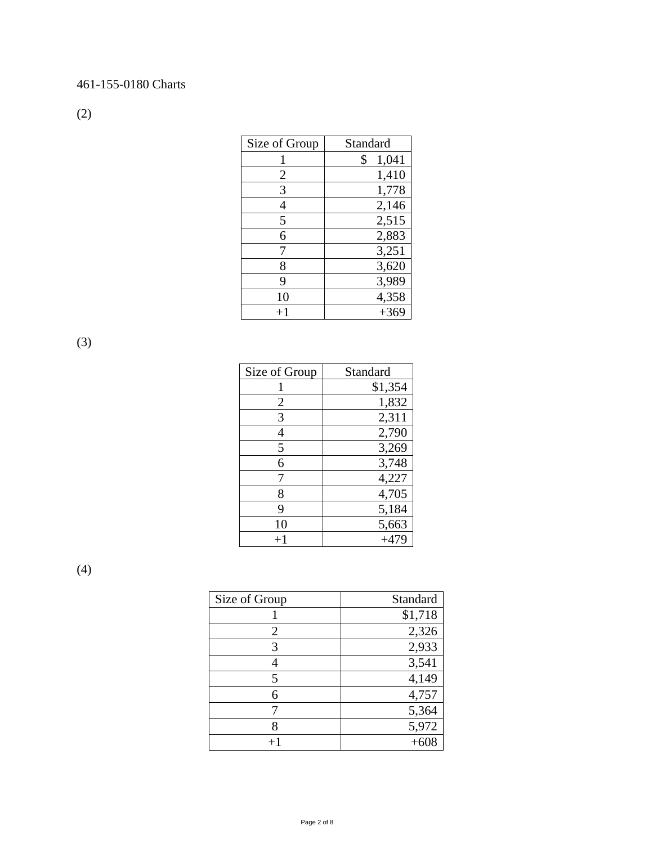# 461-155-0180 Charts

(2)

| Size of Group | Standard    |
|---------------|-------------|
|               | 1,041<br>\$ |
| 2             | 1,410       |
| 3             | 1,778       |
| 4             | 2,146       |
| 5             | 2,515       |
| 6             | 2,883       |
|               | 3,251       |
| 8             | 3,620       |
| 9             | 3,989       |
| 10            | 4,358       |
| $+1$          | $+369$      |

(3)

| Size of Group | Standard |
|---------------|----------|
|               | \$1,354  |
| 2             | 1,832    |
| 3             | 2,311    |
| 4             | 2,790    |
| 5             | 3,269    |
| 6             | 3,748    |
| 7             | 4,227    |
| 8             | 4,705    |
| 9             | 5,184    |
| 10            | 5,663    |
| $+1$          | $+479$   |

(4)

| Size of Group  | Standard |
|----------------|----------|
|                | \$1,718  |
| $\overline{2}$ | 2,326    |
| 3              | 2,933    |
|                | 3,541    |
| 5              | 4,149    |
| 6              | 4,757    |
|                | 5,364    |
|                | 5,972    |
|                |          |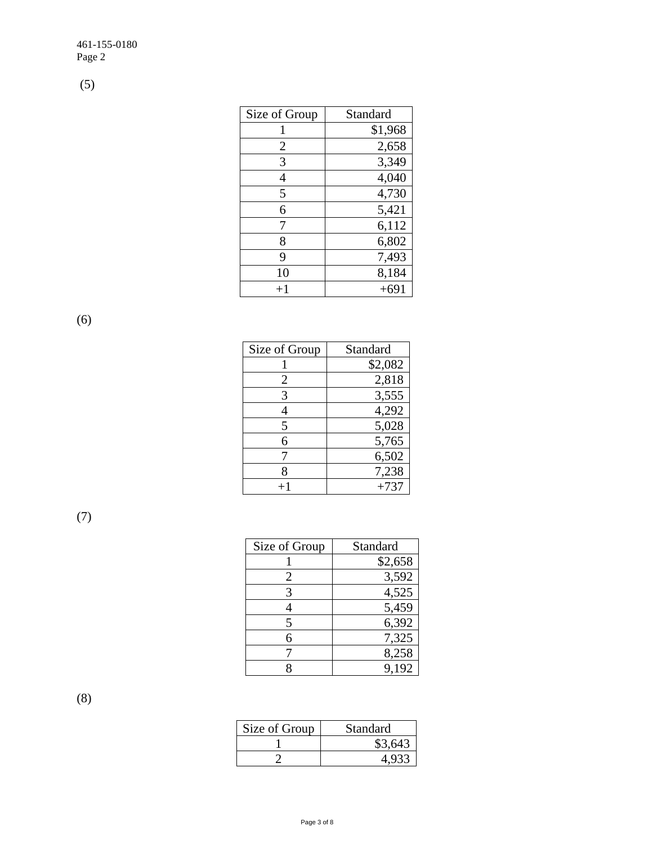(5)

| Size of Group | Standard |
|---------------|----------|
|               | \$1,968  |
| 2             | 2,658    |
| 3             | 3,349    |
| 4             | 4,040    |
| 5             | 4,730    |
| 6             | 5,421    |
| 7             | 6,112    |
| 8             | 6,802    |
| 9             | 7,493    |
| 10            | 8,184    |
| $+1$          | $+691$   |

(6)

| Size of Group | Standard |
|---------------|----------|
|               | \$2,082  |
| 2             | 2,818    |
| 3             | 3,555    |
|               | 4,292    |
| 5             | 5,028    |
| 6             | 5,765    |
|               | 6,502    |
| 8             | 7,238    |
| $+1$          | $+737$   |

(7)

| Size of Group | Standard |
|---------------|----------|
|               | \$2,658  |
| 2             | 3,592    |
|               | 4,525    |
|               | 5,459    |
| 5             | 6,392    |
| 6             | 7,325    |
|               | 8,258    |
|               | 9,192    |

(8)

| Size of Group | Standard |
|---------------|----------|
|               | \$3,643  |
|               |          |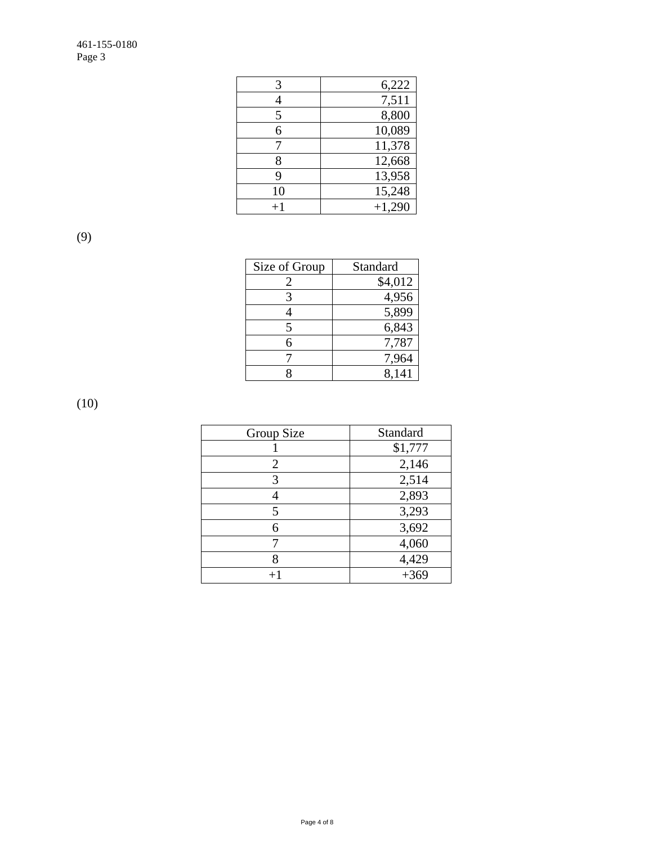| 3    | 6,222    |
|------|----------|
| 4    | 7,511    |
| 5    | 8,800    |
| 6    | 10,089   |
| 7    | 11,378   |
| 8    | 12,668   |
| 9    | 13,958   |
| 10   | 15,248   |
| $+1$ | $+1,290$ |

(9)

| Size of Group | Standard |
|---------------|----------|
| 2             | \$4,012  |
| 3             | 4,956    |
|               | 5,899    |
| 5             | 6,843    |
| 6             | 7,787    |
|               | 7,964    |
|               | 8,141    |

(10)

| Group Size | Standard |
|------------|----------|
|            | \$1,777  |
| 2          | 2,146    |
| 3          | 2,514    |
| 4          | 2,893    |
| 5          | 3,293    |
| 6          | 3,692    |
|            | 4,060    |
| 8          | 4,429    |
|            | $+369$   |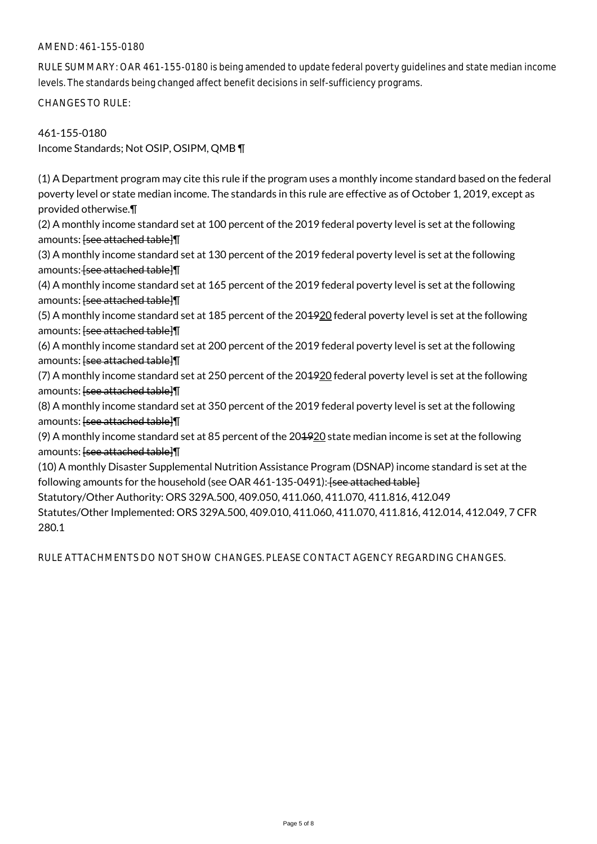### AMEND: 461-155-0180

RULE SUMMARY: OAR 461-155-0180 is being amended to update federal poverty guidelines and state median income levels. The standards being changed affect benefit decisions in self-sufficiency programs.

CHANGES TO RULE:

### 461-155-0180

Income Standards; Not OSIP, OSIPM, QMB ¶

(1) A Department program may cite this rule if the program uses a monthly income standard based on the federal poverty level or state median income. The standards in this rule are effective as of October 1, 2019, except as provided otherwise.¶

(2) A monthly income standard set at 100 percent of the 2019 federal poverty level is set at the following amounts: <del>[see attached table]</del>

(3) A monthly income standard set at 130 percent of the 2019 federal poverty level is set at the following amounts: [see attached table]]

(4) A monthly income standard set at 165 percent of the 2019 federal poverty level is set at the following amounts: **[see attached table]** 

(5) A monthly income standard set at 185 percent of the 204920 federal poverty level is set at the following amounts: [see attached table]]

(6) A monthly income standard set at 200 percent of the 2019 federal poverty level is set at the following amounts: **[see attached table]** 

(7) A monthly income standard set at 250 percent of the 201920 federal poverty level is set at the following amounts: **[see attached table]** 

(8) A monthly income standard set at 350 percent of the 2019 federal poverty level is set at the following amounts: **[see attached table]** 

(9) A monthly income standard set at 85 percent of the 201920 state median income is set at the following amounts: [see attached table]¶

(10) A monthly Disaster Supplemental Nutrition Assistance Program (DSNAP) income standard is set at the following amounts for the household (see OAR 461-135-0491): [see attached table]

Statutory/Other Authority: ORS 329A.500, 409.050, 411.060, 411.070, 411.816, 412.049

Statutes/Other Implemented: ORS 329A.500, 409.010, 411.060, 411.070, 411.816, 412.014, 412.049, 7 CFR 280.1

RULE ATTACHMENTS DO NOT SHOW CHANGES. PLEASE CONTACT AGENCY REGARDING CHANGES.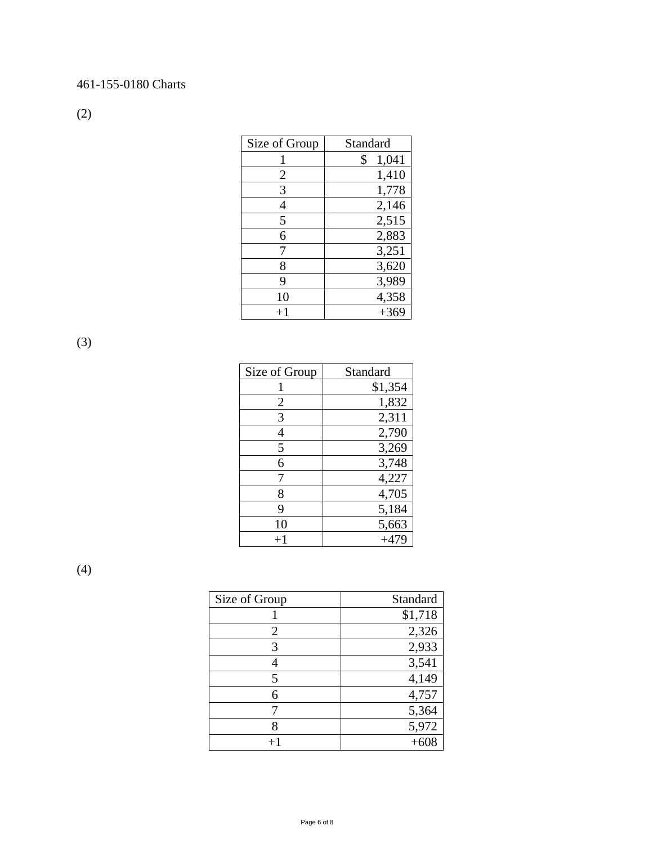# 461-155-0180 Charts

(2)

| Size of Group | Standard    |
|---------------|-------------|
|               | 1,041<br>\$ |
| 2             | 1,410       |
| 3             | 1,778       |
| 4             | 2,146       |
| 5             | 2,515       |
| 6             | 2,883       |
|               | 3,251       |
| 8             | 3,620       |
| 9             | 3,989       |
| 10            | 4,358       |
| $+1$          | $+369$      |

(3)

| Size of Group | Standard |
|---------------|----------|
|               | \$1,354  |
| 2             | 1,832    |
| 3             | 2,311    |
| 4             | 2,790    |
| 5             | 3,269    |
| 6             | 3,748    |
| 7             | 4,227    |
| 8             | 4,705    |
| 9             | 5,184    |
| 10            | 5,663    |
| $+1$          | $+479$   |

(4)

| Size of Group  | Standard |
|----------------|----------|
|                | \$1,718  |
| $\overline{2}$ | 2,326    |
| 3              | 2,933    |
|                | 3,541    |
| 5              | 4,149    |
| 6              | 4,757    |
|                | 5,364    |
|                | 5,972    |
|                |          |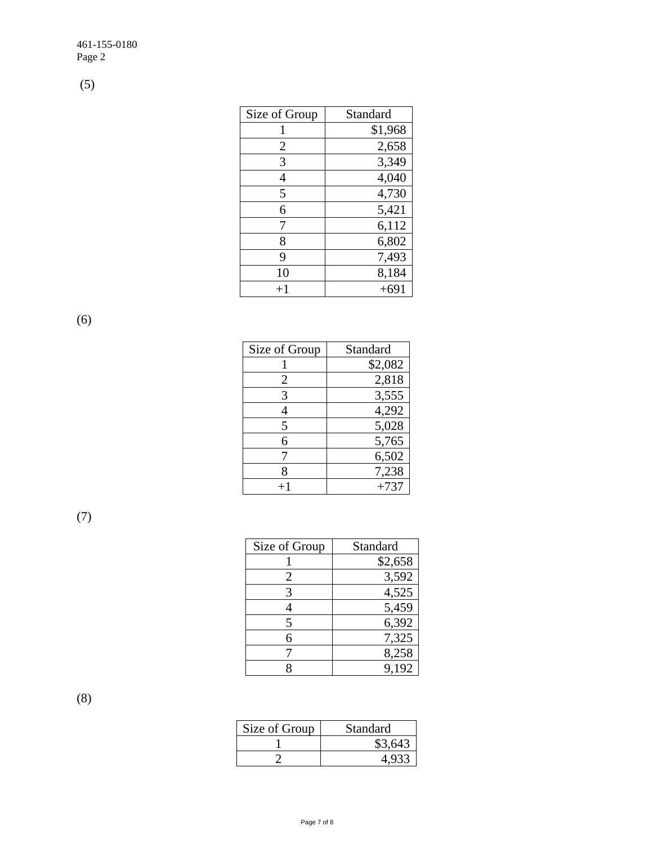(5)

| Size of Group | Standard |
|---------------|----------|
|               | \$1,968  |
| 2             | 2,658    |
| 3             | 3,349    |
| 4             | 4,040    |
| 5             | 4,730    |
| 6             | 5,421    |
| 7             | 6,112    |
| 8             | 6,802    |
| 9             | 7,493    |
| 10            | 8,184    |
| $+1$          | $+691$   |

(6)

| Size of Group | Standard |
|---------------|----------|
|               | \$2,082  |
| 2             | 2,818    |
| 3             | 3,555    |
|               | 4,292    |
| 5             | 5,028    |
| 6             | 5,765    |
|               | 6,502    |
| 8             | 7,238    |
| $+1$          | $+737$   |

(7)

| Size of Group | Standard |
|---------------|----------|
|               | \$2,658  |
| 2             | 3,592    |
|               | 4,525    |
|               | 5,459    |
| 5             | 6,392    |
| 6             | 7,325    |
|               | 8,258    |
|               | 9,192    |

(8)

| Size of Group | Standard |
|---------------|----------|
|               | \$3,643  |
|               |          |